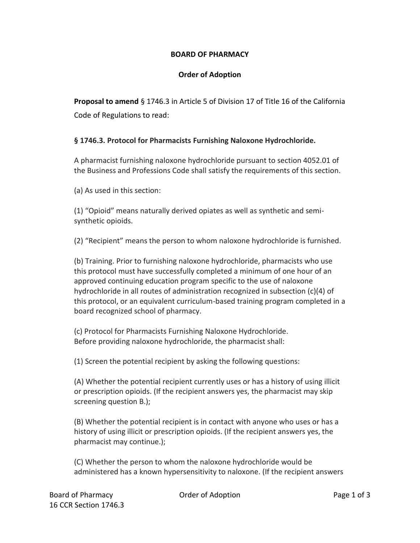## **BOARD OF PHARMACY**

## **Order of Adoption**

**Proposal to amend** § 1746.3 in Article 5 of Division 17 of Title 16 of the California Code of Regulations to read:

## **§ 1746.3. Protocol for Pharmacists Furnishing Naloxone Hydrochloride.**

A pharmacist furnishing naloxone hydrochloride pursuant to section 4052.01 of the Business and Professions Code shall satisfy the requirements of this section.

(a) As used in this section:

(1) "Opioid" means naturally derived opiates as well as synthetic and semisynthetic opioids.

(2) "Recipient" means the person to whom naloxone hydrochloride is furnished.

(b) Training. Prior to furnishing naloxone hydrochloride, pharmacists who use this protocol must have successfully completed a minimum of one hour of an approved continuing education program specific to the use of naloxone hydrochloride in all routes of administration recognized in subsection (c)(4) of this protocol, or an equivalent curriculum-based training program completed in a board recognized school of pharmacy.

(c) Protocol for Pharmacists Furnishing Naloxone Hydrochloride. Before providing naloxone hydrochloride, the pharmacist shall:

(1) Screen the potential recipient by asking the following questions:

(A) Whether the potential recipient currently uses or has a history of using illicit or prescription opioids. (If the recipient answers yes, the pharmacist may skip screening question B.);

(B) Whether the potential recipient is in contact with anyone who uses or has a history of using illicit or prescription opioids. (If the recipient answers yes, the pharmacist may continue.);

(C) Whether the person to whom the naloxone hydrochloride would be administered has a known hypersensitivity to naloxone. (If the recipient answers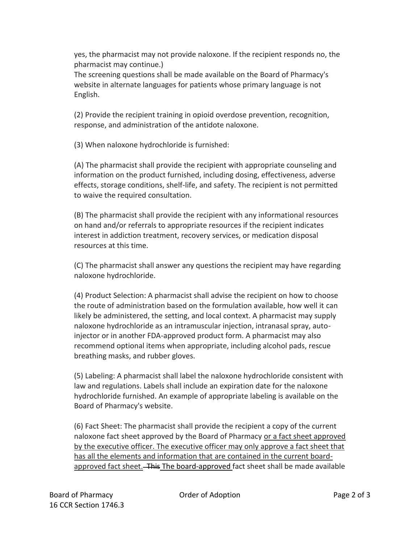yes, the pharmacist may not provide naloxone. If the recipient responds no, the pharmacist may continue.)

The screening questions shall be made available on the Board of Pharmacy's website in alternate languages for patients whose primary language is not English.

(2) Provide the recipient training in opioid overdose prevention, recognition, response, and administration of the antidote naloxone.

(3) When naloxone hydrochloride is furnished:

(A) The pharmacist shall provide the recipient with appropriate counseling and information on the product furnished, including dosing, effectiveness, adverse effects, storage conditions, shelf-life, and safety. The recipient is not permitted to waive the required consultation.

(B) The pharmacist shall provide the recipient with any informational resources on hand and/or referrals to appropriate resources if the recipient indicates interest in addiction treatment, recovery services, or medication disposal resources at this time.

(C) The pharmacist shall answer any questions the recipient may have regarding naloxone hydrochloride.

(4) Product Selection: A pharmacist shall advise the recipient on how to choose the route of administration based on the formulation available, how well it can likely be administered, the setting, and local context. A pharmacist may supply naloxone hydrochloride as an intramuscular injection, intranasal spray, autoinjector or in another FDA-approved product form. A pharmacist may also recommend optional items when appropriate, including alcohol pads, rescue breathing masks, and rubber gloves.

(5) Labeling: A pharmacist shall label the naloxone hydrochloride consistent with law and regulations. Labels shall include an expiration date for the naloxone hydrochloride furnished. An example of appropriate labeling is available on the Board of Pharmacy's website.

(6) Fact Sheet: The pharmacist shall provide the recipient a copy of the current naloxone fact sheet approved by the Board of Pharmacy or a fact sheet approved by the executive officer. The executive officer may only approve a fact sheet that has all the elements and information that are contained in the current boardapproved fact sheet. This The board-approved fact sheet shall be made available